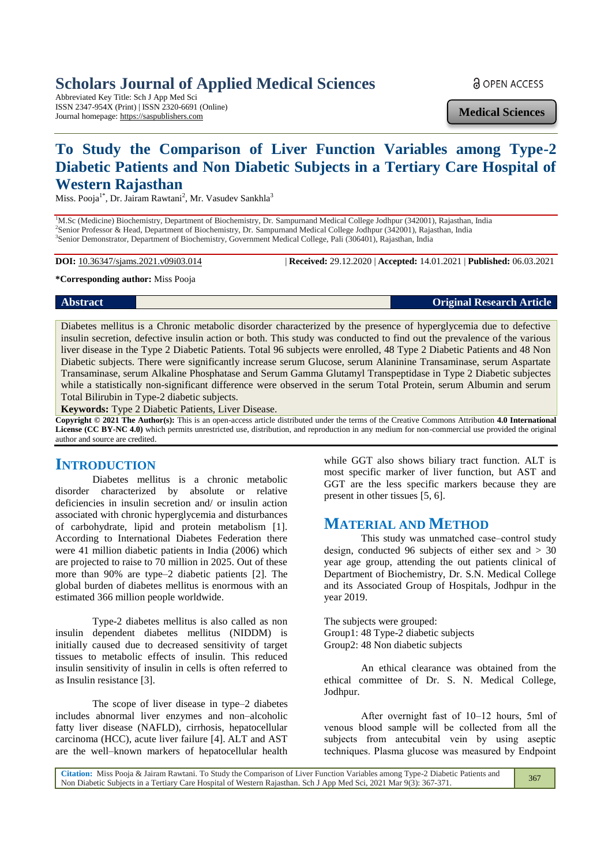# **Scholars Journal of Applied Medical Sciences**

Abbreviated Key Title: Sch J App Med Sci ISSN 2347-954X (Print) | ISSN 2320-6691 (Online) Journal homepage: https://saspublishers.com

**a** OPEN ACCESS

**Medical Sciences**

# **To Study the Comparison of Liver Function Variables among Type-2 Diabetic Patients and Non Diabetic Subjects in a Tertiary Care Hospital of Western Rajasthan**

Miss. Pooja<sup>1\*</sup>, Dr. Jairam Rawtani<sup>2</sup>, Mr. Vasudev Sankhla<sup>3</sup>

<sup>1</sup>M.Sc (Medicine) Biochemistry, Department of Biochemistry, Dr. Sampurnand Medical College Jodhpur (342001), Rajasthan, India 2 Senior Professor & Head, Department of Biochemistry, Dr. Sampurnand Medical College Jodhpur (342001), Rajasthan, India 3 Senior Demonstrator, Department of Biochemistry, Government Medical College, Pali (306401), Rajasthan, India

**DOI:** 10.36347/sjams.2021.v09i03.014 | **Received:** 29.12.2020 | **Accepted:** 14.01.2021 | **Published:** 06.03.2021

#### **\*Corresponding author:** Miss Pooja

# **Abstract Original Research Article**

Diabetes mellitus is a Chronic metabolic disorder characterized by the presence of hyperglycemia due to defective insulin secretion, defective insulin action or both. This study was conducted to find out the prevalence of the various liver disease in the Type 2 Diabetic Patients. Total 96 subjects were enrolled, 48 Type 2 Diabetic Patients and 48 Non Diabetic subjects. There were significantly increase serum Glucose, serum Alaninine Transaminase, serum Aspartate Transaminase, serum Alkaline Phosphatase and Serum Gamma Glutamyl Transpeptidase in Type 2 Diabetic subjectes while a statistically non-significant difference were observed in the serum Total Protein, serum Albumin and serum Total Bilirubin in Type-2 diabetic subjects.

**Keywords:** Type 2 Diabetic Patients, Liver Disease.

**Copyright © 2021 The Author(s):** This is an open-access article distributed under the terms of the Creative Commons Attribution **4.0 International License (CC BY-NC 4.0)** which permits unrestricted use, distribution, and reproduction in any medium for non-commercial use provided the original author and source are credited.

#### **INTRODUCTION**

Diabetes mellitus is a chronic metabolic disorder characterized by absolute or relative deficiencies in insulin secretion and/ or insulin action associated with chronic hyperglycemia and disturbances of carbohydrate, lipid and protein metabolism [1]. According to International Diabetes Federation there were 41 million diabetic patients in India (2006) which are projected to raise to 70 million in 2025. Out of these more than 90% are type–2 diabetic patients [2]. The global burden of diabetes mellitus is enormous with an estimated 366 million people worldwide.

Type-2 diabetes mellitus is also called as non insulin dependent diabetes mellitus (NIDDM) is initially caused due to decreased sensitivity of target tissues to metabolic effects of insulin. This reduced insulin sensitivity of insulin in cells is often referred to as Insulin resistance [3].

The scope of liver disease in type–2 diabetes includes abnormal liver enzymes and non–alcoholic fatty liver disease (NAFLD), cirrhosis, hepatocellular carcinoma (HCC), acute liver failure [4]. ALT and AST are the well–known markers of hepatocellular health

while GGT also shows biliary tract function. ALT is most specific marker of liver function, but AST and GGT are the less specific markers because they are present in other tissues [5, 6].

## **MATERIAL AND METHOD**

This study was unmatched case–control study design, conducted 96 subjects of either sex and  $> 30$ year age group, attending the out patients clinical of Department of Biochemistry, Dr. S.N. Medical College and its Associated Group of Hospitals, Jodhpur in the year 2019.

The subjects were grouped: Group1: 48 Type-2 diabetic subjects Group2: 48 Non diabetic subjects

An ethical clearance was obtained from the ethical committee of Dr. S. N. Medical College, Jodhpur.

After overnight fast of 10–12 hours, 5ml of venous blood sample will be collected from all the subjects from antecubital vein by using aseptic techniques. Plasma glucose was measured by Endpoint

| Citation: Miss Pooja & Jairam Rawtani. To Study the Comparison of Liver Function Variables among Type-2 Diabetic Patients and | 367 |
|-------------------------------------------------------------------------------------------------------------------------------|-----|
| Non Diabetic Subjects in a Tertiary Care Hospital of Western Rajasthan. Sch J App Med Sci, 2021 Mar 9(3): 367-371.            |     |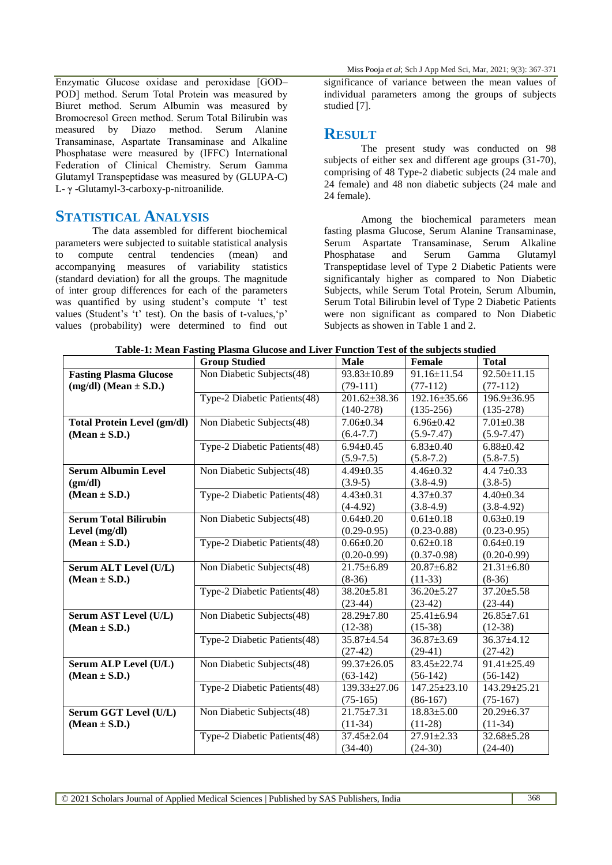Enzymatic Glucose oxidase and peroxidase [GOD– POD] method. Serum Total Protein was measured by Biuret method. Serum Albumin was measured by Bromocresol Green method. Serum Total Bilirubin was measured by Diazo method. Serum Alanine Transaminase, Aspartate Transaminase and Alkaline Phosphatase were measured by (IFFC) International Federation of Clinical Chemistry. Serum Gamma Glutamyl Transpeptidase was measured by (GLUPA-C) L- γ -Glutamyl-3-carboxy-p-nitroanilide.

#### **STATISTICAL ANALYSIS**

The data assembled for different biochemical parameters were subjected to suitable statistical analysis to compute central tendencies (mean) and accompanying measures of variability statistics (standard deviation) for all the groups. The magnitude of inter group differences for each of the parameters was quantified by using student's compute 't' test values (Student's 't' test). On the basis of t-values,'p' values (probability) were determined to find out

Miss Pooja *et al*; Sch J App Med Sci, Mar, 2021; 9(3): 367-371

significance of variance between the mean values of individual parameters among the groups of subjects studied [7].

## **RESULT**

The present study was conducted on 98 subjects of either sex and different age groups (31-70), comprising of 48 Type-2 diabetic subjects (24 male and 24 female) and 48 non diabetic subjects (24 male and 24 female).

Among the biochemical parameters mean fasting plasma Glucose, Serum Alanine Transaminase, Serum Aspartate Transaminase, Serum Alkaline Phosphatase and Serum Gamma Glutamyl Transpeptidase level of Type 2 Diabetic Patients were significantaly higher as compared to Non Diabetic Subjects, while Serum Total Protein, Serum Albumin, Serum Total Bilirubin level of Type 2 Diabetic Patients were non significant as compared to Non Diabetic Subjects as showen in Table 1 and 2.

|                                    | <b>Group Studied</b>         | <b>Male</b>        | Female             | <b>Total</b>      |
|------------------------------------|------------------------------|--------------------|--------------------|-------------------|
| <b>Fasting Plasma Glucose</b>      | Non Diabetic Subjects(48)    | 93.83±10.89        | $91.16 \pm 11.54$  | $92.50 \pm 11.15$ |
| $(mg/dl)$ (Mean $\pm$ S.D.)        |                              | $(79-111)$         | $(77-112)$         | $(77-112)$        |
|                                    | Type-2 Diabetic Patients(48) | $201.62 \pm 38.36$ | 192.16±35.66       | 196.9±36.95       |
|                                    |                              | $(140-278)$        | $(135-256)$        | $(135-278)$       |
| <b>Total Protein Level (gm/dl)</b> | Non Diabetic Subjects(48)    | $7.06 \pm 0.34$    | $6.96 \pm 0.42$    | $7.01 \pm 0.38$   |
| $(Mean \pm S.D.)$                  |                              | $(6.4 - 7.7)$      | $(5.9 - 7.47)$     | $(5.9 - 7.47)$    |
|                                    | Type-2 Diabetic Patients(48) | $6.94 \pm 0.45$    | $6.83 \pm 0.40$    | $6.88 \pm 0.42$   |
|                                    |                              | $(5.9 - 7.5)$      | $(5.8 - 7.2)$      | $(5.8 - 7.5)$     |
| <b>Serum Albumin Level</b>         | Non Diabetic Subjects(48)    | $4.49 \pm 0.35$    | $4.46 \pm 0.32$    | 4.4 $7\pm0.33$    |
| (gm/dl)                            |                              | $(3.9-5)$          | $(3.8-4.9)$        | $(3.8-5)$         |
| $(Mean \pm S.D.)$                  | Type-2 Diabetic Patients(48) | $4.43 \pm 0.31$    | $4.37 \pm 0.37$    | $4.40 \pm 0.34$   |
|                                    |                              | $(4-4.92)$         | $(3.8-4.9)$        | $(3.8-4.92)$      |
| <b>Serum Total Bilirubin</b>       | Non Diabetic Subjects(48)    | $0.64 \pm 0.20$    | $0.61 \pm 0.18$    | $0.63 \pm 0.19$   |
| Level (mg/dl)                      |                              | $(0.29 - 0.95)$    | $(0.23 - 0.88)$    | $(0.23 - 0.95)$   |
| $(Mean \pm S.D.)$                  | Type-2 Diabetic Patients(48) | $0.66 \pm 0.20$    | $0.62 \pm 0.18$    | $0.64 \pm 0.19$   |
|                                    |                              | $(0.20 - 0.99)$    | $(0.37 - 0.98)$    | $(0.20 - 0.99)$   |
| Serum ALT Level (U/L)              | Non Diabetic Subjects(48)    | 21.75±6.89         | $20.87 + 6.82$     | $21.31 \pm 6.80$  |
| $(Mean \pm S.D.)$                  |                              | $(8-36)$           | $(11-33)$          | $(8-36)$          |
|                                    | Type-2 Diabetic Patients(48) | $38.20 \pm 5.81$   | $36.20 \pm 5.27$   | $37.20 \pm 5.58$  |
|                                    |                              | $(23-44)$          | $(23-42)$          | $(23-44)$         |
| Serum AST Level (U/L)              | Non Diabetic Subjects(48)    | $28.29 \pm 7.80$   | $25.41 \pm 6.94$   | $26.85 \pm 7.61$  |
| $(Mean \pm S.D.)$                  |                              | $(12-38)$          | $(15-38)$          | $(12-38)$         |
|                                    | Type-2 Diabetic Patients(48) | 35.87±4.54         | $36.87 \pm 3.69$   | $36.37 \pm 4.12$  |
|                                    |                              | $(27-42)$          | $(29-41)$          | $(27-42)$         |
| Serum ALP Level (U/L)              | Non Diabetic Subjects(48)    | 99.37±26.05        | 83.45±22.74        | 91.41±25.49       |
| $(Mean \pm S.D.)$                  |                              | $(63-142)$         | $(56-142)$         | $(56-142)$        |
|                                    | Type-2 Diabetic Patients(48) | 139.33±27.06       | $147.25 \pm 23.10$ | 143.29±25.21      |
|                                    |                              | $(75-165)$         | $(86-167)$         | $(75-167)$        |
| Serum GGT Level (U/L)              | Non Diabetic Subjects(48)    | $21.75 \pm 7.31$   | $18.83 \pm 5.00$   | $20.29 \pm 6.37$  |
| $(Mean \pm S.D.)$                  |                              | $(11-34)$          | $(11-28)$          | $(11-34)$         |
|                                    | Type-2 Diabetic Patients(48) | $37.45 \pm 2.04$   | $27.91 \pm 2.33$   | $32.68 \pm 5.28$  |
|                                    |                              | $(34-40)$          | $(24-30)$          | $(24-40)$         |

**Table-1: Mean Fasting Plasma Glucose and Liver Function Test of the subjects studied**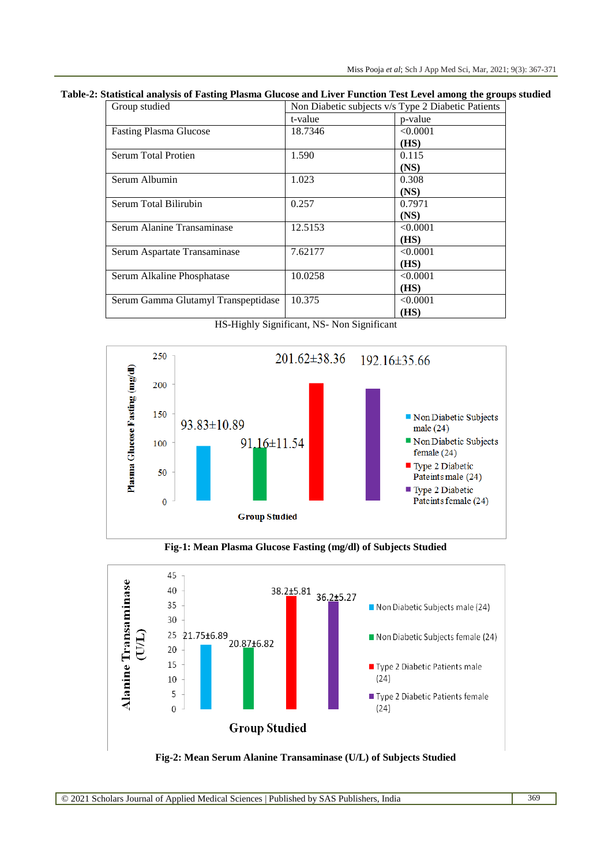#### **Table-2: Statistical analysis of Fasting Plasma Glucose and Liver Function Test Level among the groups studied**

| Group studied                       | Non Diabetic subjects v/s Type 2 Diabetic Patients |          |
|-------------------------------------|----------------------------------------------------|----------|
|                                     | t-value                                            | p-value  |
| <b>Fasting Plasma Glucose</b>       | 18.7346                                            | < 0.0001 |
|                                     |                                                    | (HS)     |
| Serum Total Protien                 | 1.590                                              | 0.115    |
|                                     |                                                    | (NS)     |
| Serum Albumin                       | 1.023                                              | 0.308    |
|                                     |                                                    | (NS)     |
| Serum Total Bilirubin               | 0.257                                              | 0.7971   |
|                                     |                                                    | (NS)     |
| Serum Alanine Transaminase          | 12.5153                                            | < 0.0001 |
|                                     |                                                    | (HS)     |
| Serum Aspartate Transaminase        | 7.62177                                            | < 0.0001 |
|                                     |                                                    | (HS)     |
| Serum Alkaline Phosphatase          | 10.0258                                            | < 0.0001 |
|                                     |                                                    | (HS)     |
| Serum Gamma Glutamyl Transpeptidase | 10.375                                             | < 0.0001 |
|                                     |                                                    | (HS)     |

HS-Highly Significant, NS- Non Significant



**Fig-1: Mean Plasma Glucose Fasting (mg/dl) of Subjects Studied**



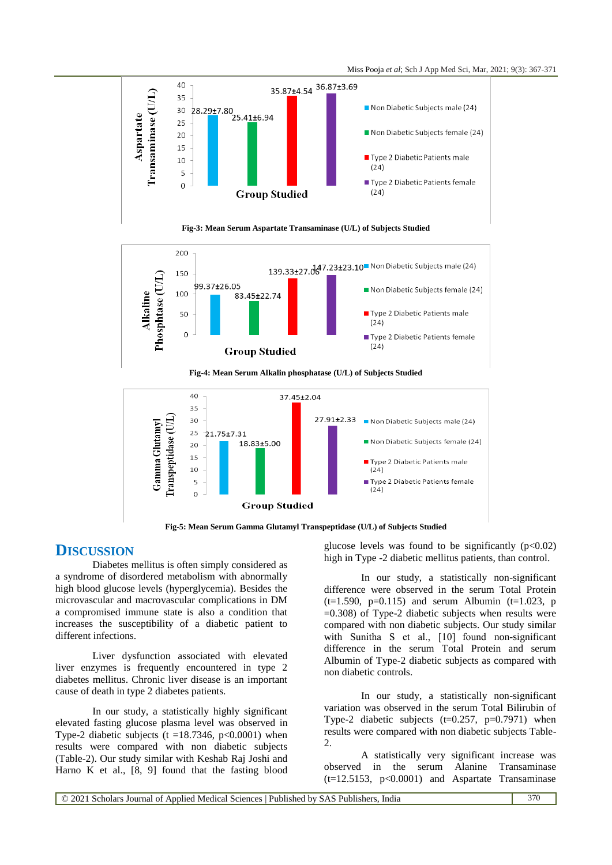





**Fig-4: Mean Serum Alkalin phosphatase (U/L) of Subjects Studied**



**Fig-5: Mean Serum Gamma Glutamyl Transpeptidase (U/L) of Subjects Studied**

#### **DISCUSSION**

Diabetes mellitus is often simply considered as a syndrome of disordered metabolism with abnormally high blood glucose levels (hyperglycemia). Besides the microvascular and macrovascular complications in DM a compromised immune state is also a condition that increases the susceptibility of a diabetic patient to different infections.

Liver dysfunction associated with elevated liver enzymes is frequently encountered in type 2 diabetes mellitus. Chronic liver disease is an important cause of death in type 2 diabetes patients.

In our study, a statistically highly significant elevated fasting glucose plasma level was observed in Type-2 diabetic subjects (t =18.7346, p<0.0001) when results were compared with non diabetic subjects (Table-2). Our study similar with Keshab Raj Joshi and Harno K et al., [8, 9] found that the fasting blood

glucose levels was found to be significantly  $(p<0.02)$ high in Type -2 diabetic mellitus patients, than control.

In our study, a statistically non-significant difference were observed in the serum Total Protein  $(t=1.590, p=0.115)$  and serum Albumin  $(t=1.023, p)$  $=0.308$ ) of Type-2 diabetic subjects when results were compared with non diabetic subjects. Our study similar with Sunitha S et al., [10] found non-significant difference in the serum Total Protein and serum Albumin of Type-2 diabetic subjects as compared with non diabetic controls.

In our study, a statistically non-significant variation was observed in the serum Total Bilirubin of Type-2 diabetic subjects  $(t=0.257, p=0.7971)$  when results were compared with non diabetic subjects Table-2.

A statistically very significant increase was observed in the serum Alanine Transaminase  $(t=12.5153, p<0.0001)$  and Aspartate Transaminase